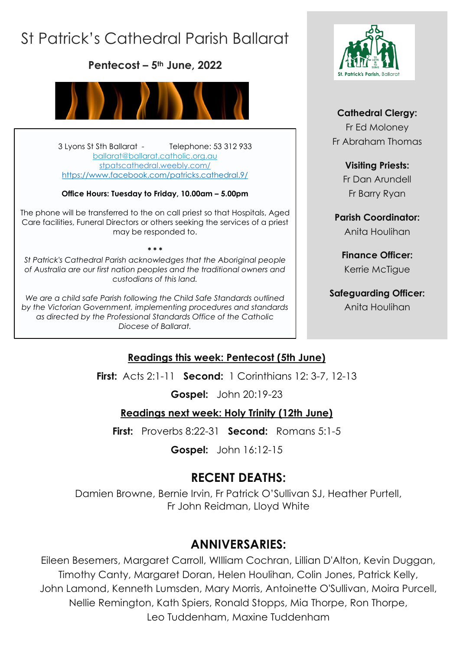# St Patrick's Cathedral Parish Ballarat

**Pentecost – 5th June, 2022**



3 Lyons St Sth Ballarat - Telephone: 53 312 933 [ballarat@ballarat.catholic.org.au](mailto:ballarat@ballarat.catholic.org.au)  [stpatscathedral.weebly.com/](https://stpatscathedral.weebly.com/) <https://www.facebook.com/patricks.cathedral.9/>

#### **Office Hours: Tuesday to Friday, 10.00am – 5.00pm**

The phone will be transferred to the on call priest so that Hospitals, Aged Care facilities, Funeral Directors or others seeking the services of a priest may be responded to.

*St Patrick's Cathedral Parish acknowledges that the Aboriginal people of Australia are our first nation peoples and the traditional owners and custodians of this land.*

**\* \* \***

*We are a child safe Parish following the Child Safe Standards outlined by the Victorian Government, implementing procedures and standards as directed by the Professional Standards Office of the Catholic Diocese of Ballarat.*



#### **Cathedral Clergy:**

Fr Ed Moloney Fr Abraham Thomas

#### **Visiting Priests:**

Fr Dan Arundell Fr Barry Ryan

**Parish Coordinator:** Anita Houlihan

**Finance Officer:** Kerrie McTigue

#### **Safeguarding Officer:**

Anita Houlihan

#### **Readings this week: Pentecost (5th June)**

**First:** Acts 2:1-11 **Second:** 1 Corinthians 12: 3-7, 12-13

**Gospel:** John 20:19-23

#### **Readings next week: Holy Trinity (12th June)**

**First:** Proverbs 8:22-31 **Second:** Romans 5:1-5

**Gospel:** John 16:12-15

## **RECENT DEATHS:**

Damien Browne, Bernie Irvin, Fr Patrick O'Sullivan SJ, Heather Purtell, Fr John Reidman, Lloyd White

## **ANNIVERSARIES:**

Eileen Besemers, Margaret Carroll, WIlliam Cochran, Lillian D'Alton, Kevin Duggan, Timothy Canty, Margaret Doran, Helen Houlihan, Colin Jones, Patrick Kelly, John Lamond, Kenneth Lumsden, Mary Morris, Antoinette O'Sullivan, Moira Purcell, Nellie Remington, Kath Spiers, Ronald Stopps, Mia Thorpe, Ron Thorpe, Leo Tuddenham, Maxine Tuddenham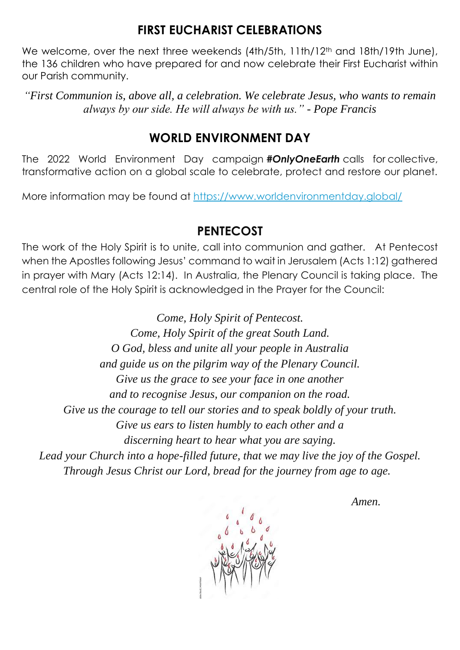### **FIRST EUCHARIST CELEBRATIONS**

We welcome, over the next three weekends (4th/5th, 11th/12<sup>th</sup> and 18th/19th June), the 136 children who have prepared for and now celebrate their First Eucharist within our Parish community.

*"First Communion is, above all, a celebration. We celebrate Jesus, who wants to remain always by our side. He will always be with us." - Pope Francis*

#### **WORLD ENVIRONMENT DAY**

The 2022 World Environment Day campaign *#OnlyOneEarth* calls for collective, transformative action on a global scale to celebrate, protect and restore our planet.

More information may be found at<https://www.worldenvironmentday.global/>

#### **PENTECOST**

The work of the Holy Spirit is to unite, call into communion and gather. At Pentecost when the Apostles following Jesus' command to wait in Jerusalem (Acts 1:12) gathered in prayer with Mary (Acts 12:14). In Australia, the Plenary Council is taking place. The central role of the Holy Spirit is acknowledged in the Prayer for the Council:

*Come, Holy Spirit of Pentecost. Come, Holy Spirit of the great South Land. O God, bless and unite all your people in Australia and guide us on the pilgrim way of the Plenary Council. Give us the grace to see your face in one another and to recognise Jesus, our companion on the road. Give us the courage to tell our stories and to speak boldly of your truth. Give us ears to listen humbly to each other and a discerning heart to hear what you are saying. Lead your Church into a hope-filled future, that we may live the joy of the Gospel. Through Jesus Christ our Lord, bread for the journey from age to age.* 

*Amen.*

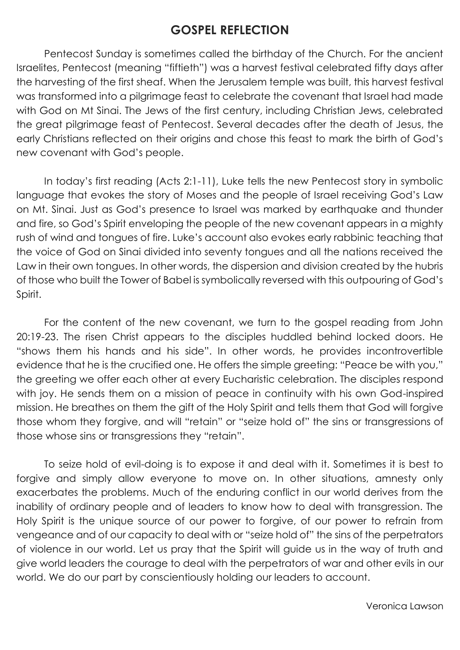### **GOSPEL REFLECTION**

Pentecost Sunday is sometimes called the birthday of the Church. For the ancient Israelites, Pentecost (meaning "fiftieth") was a harvest festival celebrated fifty days after the harvesting of the first sheaf. When the Jerusalem temple was built, this harvest festival was transformed into a pilgrimage feast to celebrate the covenant that Israel had made with God on Mt Sinai. The Jews of the first century, including Christian Jews, celebrated the great pilgrimage feast of Pentecost. Several decades after the death of Jesus, the early Christians reflected on their origins and chose this feast to mark the birth of God's new covenant with God's people.

In today's first reading (Acts 2:1-11), Luke tells the new Pentecost story in symbolic language that evokes the story of Moses and the people of Israel receiving God's Law on Mt. Sinai. Just as God's presence to Israel was marked by earthquake and thunder and fire, so God's Spirit enveloping the people of the new covenant appears in a mighty rush of wind and tongues of fire. Luke's account also evokes early rabbinic teaching that the voice of God on Sinai divided into seventy tongues and all the nations received the Law in their own tongues. In other words, the dispersion and division created by the hubris of those who built the Tower of Babel is symbolically reversed with this outpouring of God's Spirit.

For the content of the new covenant, we turn to the gospel reading from John 20:19-23. The risen Christ appears to the disciples huddled behind locked doors. He "shows them his hands and his side". In other words, he provides incontrovertible evidence that he is the crucified one. He offers the simple greeting: "Peace be with you," the greeting we offer each other at every Eucharistic celebration. The disciples respond with joy. He sends them on a mission of peace in continuity with his own God-inspired mission. He breathes on them the gift of the Holy Spirit and tells them that God will forgive those whom they forgive, and will "retain" or "seize hold of" the sins or transgressions of those whose sins or transgressions they "retain".

To seize hold of evil-doing is to expose it and deal with it. Sometimes it is best to forgive and simply allow everyone to move on. In other situations, amnesty only exacerbates the problems. Much of the enduring conflict in our world derives from the inability of ordinary people and of leaders to know how to deal with transgression. The Holy Spirit is the unique source of our power to forgive, of our power to refrain from vengeance and of our capacity to deal with or "seize hold of" the sins of the perpetrators of violence in our world. Let us pray that the Spirit will guide us in the way of truth and give world leaders the courage to deal with the perpetrators of war and other evils in our world. We do our part by conscientiously holding our leaders to account.